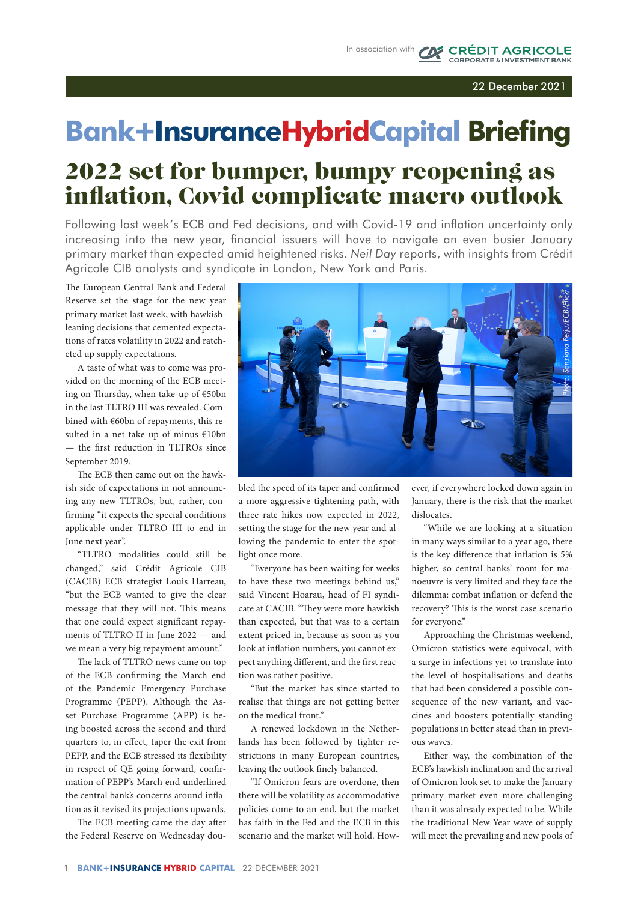## 22 December 2021

**CRÉDIT AGRICOLE** 

## **Bank**+**InsuranceHybridCapital Briefing**

## 2022 set for bumper, bumpy reopening as inflation, Covid complicate macro outlook

Following last week's ECB and Fed decisions, and with Covid-19 and inflation uncertainty only increasing into the new year, financial issuers will have to navigate an even busier January primary market than expected amid heightened risks. *Neil Day* reports, with insights from Crédit Agricole CIB analysts and syndicate in London, New York and Paris.

The European Central Bank and Federal Reserve set the stage for the new year primary market last week, with hawkishleaning decisions that cemented expectations of rates volatility in 2022 and ratcheted up supply expectations.

A taste of what was to come was provided on the morning of the ECB meeting on Thursday, when take-up of €50bn in the last TLTRO III was revealed. Combined with €60bn of repayments, this resulted in a net take-up of minus €10bn — the first reduction in TLTROs since September 2019.

The ECB then came out on the hawkish side of expectations in not announcing any new TLTROs, but, rather, confirming "it expects the special conditions applicable under TLTRO III to end in June next year".

"TLTRO modalities could still be changed," said Crédit Agricole CIB (CACIB) ECB strategist Louis Harreau, "but the ECB wanted to give the clear message that they will not. This means that one could expect significant repayments of TLTRO II in June 2022 — and we mean a very big repayment amount."

The lack of TLTRO news came on top of the ECB confirming the March end of the Pandemic Emergency Purchase Programme (PEPP). Although the Asset Purchase Programme (APP) is being boosted across the second and third quarters to, in effect, taper the exit from PEPP, and the ECB stressed its flexibility in respect of QE going forward, confirmation of PEPP's March end underlined the central bank's concerns around inflation as it revised its projections upwards.

The ECB meeting came the day after the Federal Reserve on Wednesday dou-



bled the speed of its taper and confirmed a more aggressive tightening path, with three rate hikes now expected in 2022, setting the stage for the new year and allowing the pandemic to enter the spotlight once more.

"Everyone has been waiting for weeks to have these two meetings behind us," said Vincent Hoarau, head of FI syndicate at CACIB. "They were more hawkish than expected, but that was to a certain extent priced in, because as soon as you look at inflation numbers, you cannot expect anything different, and the first reaction was rather positive.

"But the market has since started to realise that things are not getting better on the medical front."

A renewed lockdown in the Netherlands has been followed by tighter restrictions in many European countries, leaving the outlook finely balanced.

"If Omicron fears are overdone, then there will be volatility as accommodative policies come to an end, but the market has faith in the Fed and the ECB in this scenario and the market will hold. However, if everywhere locked down again in January, there is the risk that the market dislocates.

"While we are looking at a situation in many ways similar to a year ago, there is the key difference that inflation is 5% higher, so central banks' room for manoeuvre is very limited and they face the dilemma: combat inflation or defend the recovery? This is the worst case scenario for everyone."

Approaching the Christmas weekend, Omicron statistics were equivocal, with a surge in infections yet to translate into the level of hospitalisations and deaths that had been considered a possible consequence of the new variant, and vaccines and boosters potentially standing populations in better stead than in previous waves.

Either way, the combination of the ECB's hawkish inclination and the arrival of Omicron look set to make the January primary market even more challenging than it was already expected to be. While the traditional New Year wave of supply will meet the prevailing and new pools of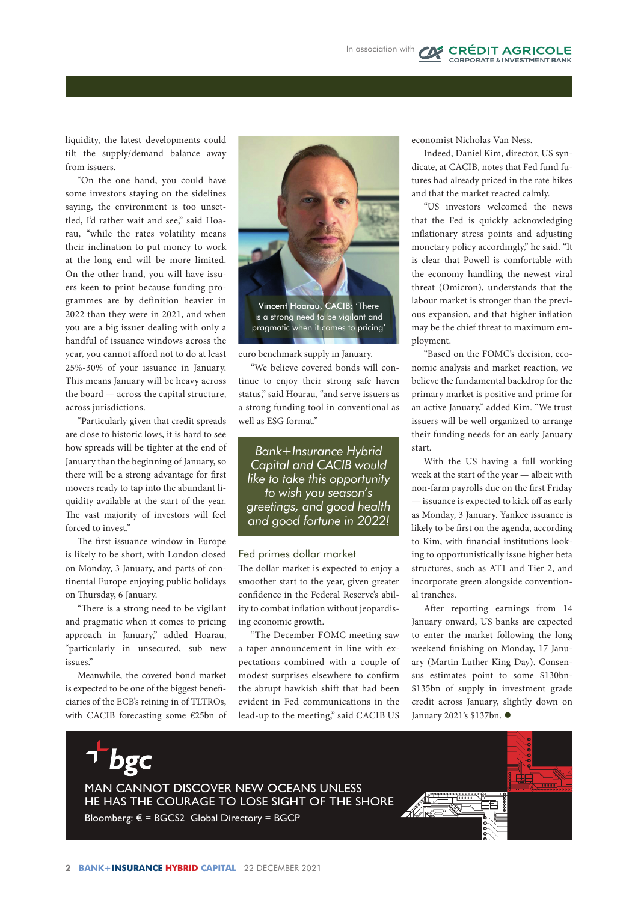liquidity, the latest developments could tilt the supply/demand balance away from issuers.

"On the one hand, you could have some investors staying on the sidelines saying, the environment is too unsettled, I'd rather wait and see," said Hoarau, "while the rates volatility means their inclination to put money to work at the long end will be more limited. On the other hand, you will have issuers keen to print because funding programmes are by definition heavier in 2022 than they were in 2021, and when you are a big issuer dealing with only a handful of issuance windows across the year, you cannot afford not to do at least 25%-30% of your issuance in January. This means January will be heavy across the board — across the capital structure, across jurisdictions.

"Particularly given that credit spreads are close to historic lows, it is hard to see how spreads will be tighter at the end of January than the beginning of January, so there will be a strong advantage for first movers ready to tap into the abundant liquidity available at the start of the year. The vast majority of investors will feel forced to invest."

The first issuance window in Europe is likely to be short, with London closed on Monday, 3 January, and parts of continental Europe enjoying public holidays on Thursday, 6 January.

"There is a strong need to be vigilant and pragmatic when it comes to pricing approach in January," added Hoarau, "particularly in unsecured, sub new issues."

Meanwhile, the covered bond market is expected to be one of the biggest beneficiaries of the ECB's reining in of TLTROs, with CACIB forecasting some €25bn of



euro benchmark supply in January.

"We believe covered bonds will continue to enjoy their strong safe haven status," said Hoarau, "and serve issuers as a strong funding tool in conventional as well as ESG format."

*Bank+Insurance Hybrid Capital and CACIB would like to take this opportunity to wish you season's greetings, and good health and good fortune in 2022!*

## Fed primes dollar market

The dollar market is expected to enjoy a smoother start to the year, given greater confidence in the Federal Reserve's ability to combat inflation without jeopardising economic growth.

"The December FOMC meeting saw a taper announcement in line with expectations combined with a couple of modest surprises elsewhere to confirm the abrupt hawkish shift that had been evident in Fed communications in the lead-up to the meeting," said CACIB US

economist Nicholas Van Ness.

Indeed, Daniel Kim, director, US syndicate, at CACIB, notes that Fed fund futures had already priced in the rate hikes and that the market reacted calmly.

**CAS** CRÉDIT AGRICOLE

"US investors welcomed the news that the Fed is quickly acknowledging inflationary stress points and adjusting monetary policy accordingly," he said. "It is clear that Powell is comfortable with the economy handling the newest viral threat (Omicron), understands that the labour market is stronger than the previous expansion, and that higher inflation may be the chief threat to maximum employment.

"Based on the FOMC's decision, economic analysis and market reaction, we believe the fundamental backdrop for the primary market is positive and prime for an active January," added Kim. "We trust issuers will be well organized to arrange their funding needs for an early January start.

With the US having a full working week at the start of the year — albeit with non-farm payrolls due on the first Friday — issuance is expected to kick off as early as Monday, 3 January. Yankee issuance is likely to be first on the agenda, according to Kim, with financial institutions looking to opportunistically issue higher beta structures, such as AT1 and Tier 2, and incorporate green alongside conventional tranches.

After reporting earnings from 14 January onward, US banks are expected to enter the market following the long weekend finishing on Monday, 17 January (Martin Luther King Day). Consensus estimates point to some \$130bn- \$135bn of supply in investment grade credit across January, slightly down on January 2021's \$137bn.  $\bullet$